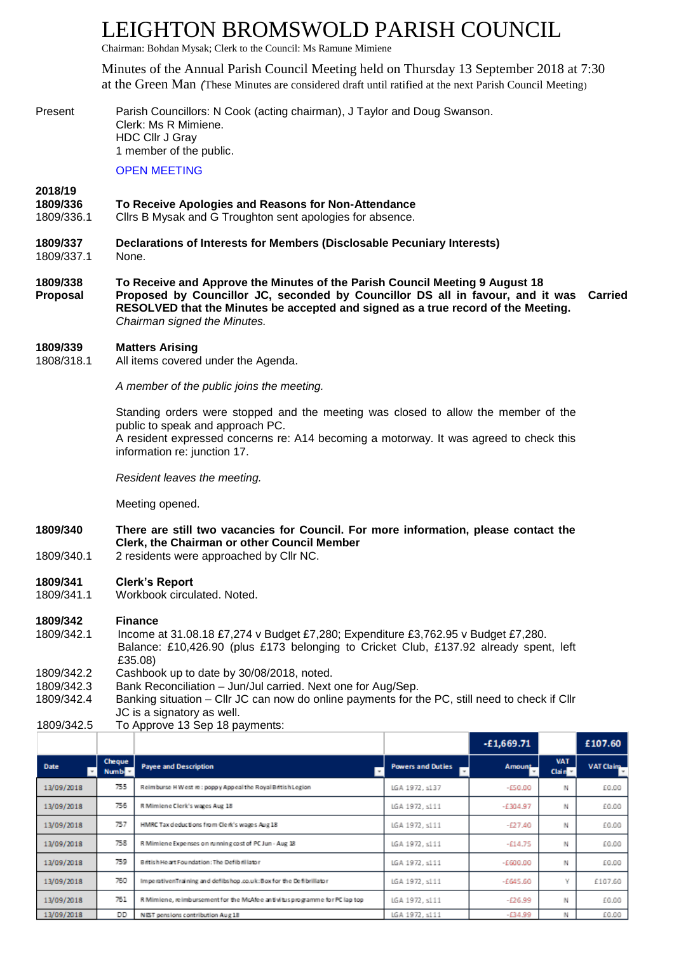# LEIGHTON BROMSWOLD PARISH COUNCIL

Chairman: Bohdan Mysak; Clerk to the Council: Ms Ramune Mimiene

Minutes of the Annual Parish Council Meeting held on Thursday 13 September 2018 at 7:30 at the Green Man *(*These Minutes are considered draft until ratified at the next Parish Council Meeting)

Present Parish Councillors: N Cook (acting chairman), J Taylor and Doug Swanson. Clerk: Ms R Mimiene. HDC Cllr J Gray 1 member of the public.

OPEN MEETING

# **2018/19**

- **1809/336 To Receive Apologies and Reasons for Non-Attendance**
- 1809/336.1 Cllrs B Mysak and G Troughton sent apologies for absence.
- **1809/337 Declarations of Interests for Members (Disclosable Pecuniary Interests)** 1809/337.1 None.
- **1809/338 To Receive and Approve the Minutes of the Parish Council Meeting 9 August 18 Proposal Proposed by Councillor JC, seconded by Councillor DS all in favour, and it was RESOLVED that the Minutes be accepted and signed as a true record of the Meeting. Carried** *Chairman signed the Minutes.*

#### **1809/339 Matters Arising**

1808/318.1 All items covered under the Agenda.

*A member of the public joins the meeting.*

Standing orders were stopped and the meeting was closed to allow the member of the public to speak and approach PC. A resident expressed concerns re: A14 becoming a motorway. It was agreed to check this information re: junction 17.

*Resident leaves the meeting.*

Meeting opened.

- **1809/340 There are still two vacancies for Council. For more information, please contact the Clerk, the Chairman or other Council Member**
- 1809/340.1 2 residents were approached by Cllr NC.

### **1809/341 Clerk's Report**

1809/341.1 Workbook circulated. Noted.

**1809/342 Finance**

- 1809/342.1 Income at 31.08.18 £7,274 v Budget £7,280; Expenditure £3,762.95 v Budget £7,280. Balance: £10,426.90 (plus £173 belonging to Cricket Club, £137.92 already spent, left £35.08) 1809/342.2 Cashbook up to date by 30/08/2018, noted.
- 1809/342.3 Bank Reconciliation Jun/Jul carried. Next one for Aug/Sep.
- 1809/342.4 Banking situation Cllr JC can now do online payments for the PC, still need to check if Cllr JC is a signatory as well.
- 1809/342.5 To Approve 13 Sep 18 payments:

|             |                         |                                                                            |                          | $-£1,669.71$  |                                  | £107.60          |
|-------------|-------------------------|----------------------------------------------------------------------------|--------------------------|---------------|----------------------------------|------------------|
| <b>Date</b> | <b>Cheque</b><br>Number | <b>Payee and Description</b>                                               | <b>Powers and Duties</b> | <b>Amount</b> | <b>VAT</b><br>Clain <sub>3</sub> | <b>VAT Claim</b> |
| 13/09/2018  | 755                     | Reimburse HWest re: poppy Appeal the Royal British Legion                  | LGA 1972, s137           | $-£50.00$     | N                                | £0.00            |
| 13/09/2018  | 756                     | R Mimiene Clerk's wages Aug 18                                             | LGA 1972, s111           | $-£304.97$    | N                                | £0.00            |
| 13/09/2018  | 757                     | HMRC Tax deductions from Clerk's wages Aug 18                              | LGA 1972, s111           | $-£27.40$     | Ν                                | £0.00            |
| 13/09/2018  | 758                     | R Mimiene Expenses on running cost of PC Jun - Aug 18                      | LGA 1972, s111           | $-£14.75$     | Ν                                | £0.00            |
| 13/09/2018  | 759                     | British Heart Foundation: The Defibril later                               | LGA 1972, s111           | $-600.00$     | Ν                                | £0.00            |
| 13/09/2018  | 750                     | ImperativenTraining and defibs hop.co.uk: Box for the Defibrillator        | LGA 1972, s111           | $-£645.60$    | v                                | £107.60          |
| 13/09/2018  | 761                     | R Mimiene, reimbursement for the McAfee antivitus programme for PC lap top | LGA 1972, s111           | $-£26.99$     | N                                | £0.00            |
| 13/09/2018  | DD                      | NEST pensions contribution Aug 18                                          | LGA 1972, s111           | $-634.99$     |                                  | £0.00            |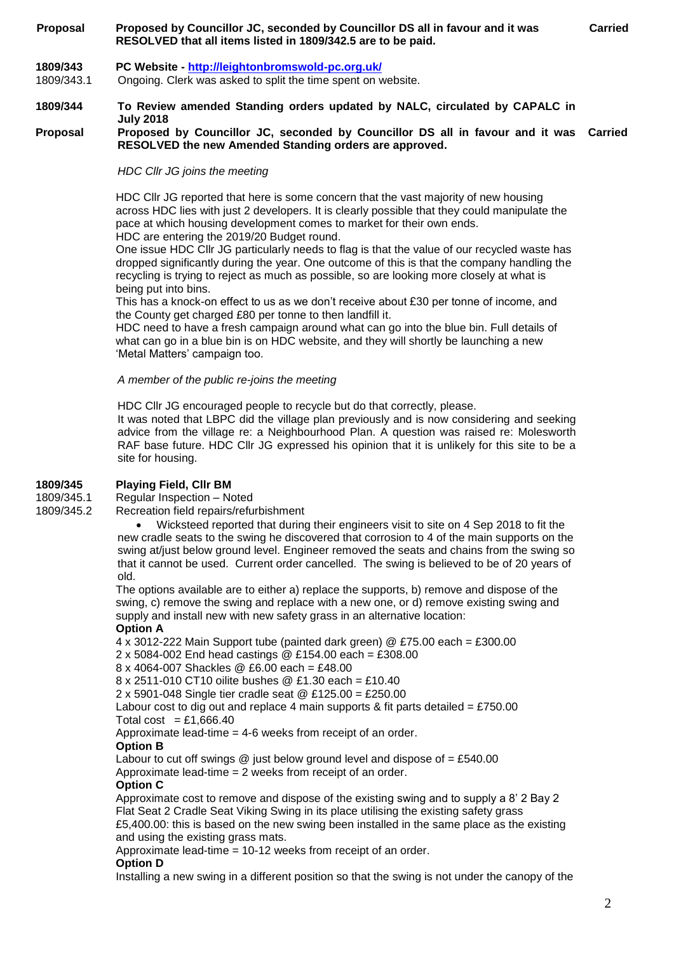# **Proposal Proposed by Councillor JC, seconded by Councillor DS all in favour and it was RESOLVED that all items listed in 1809/342.5 are to be paid.**

# **1809/343 PC Website - <http://leightonbromswold-pc.org.uk/>**

1809/343.1 Ongoing. Clerk was asked to split the time spent on website.

# **1809/344 To Review amended Standing orders updated by NALC, circulated by CAPALC in July 2018**

# **Proposal Proposed by Councillor JC, seconded by Councillor DS all in favour and it was Carried RESOLVED the new Amended Standing orders are approved.**

*HDC Cllr JG joins the meeting*

HDC Cllr JG reported that here is some concern that the vast majority of new housing across HDC lies with just 2 developers. It is clearly possible that they could manipulate the pace at which housing development comes to market for their own ends. HDC are entering the 2019/20 Budget round.

One issue HDC Cllr JG particularly needs to flag is that the value of our recycled waste has dropped significantly during the year. One outcome of this is that the company handling the recycling is trying to reject as much as possible, so are looking more closely at what is being put into bins.

This has a knock-on effect to us as we don't receive about £30 per tonne of income, and the County get charged £80 per tonne to then landfill it.

HDC need to have a fresh campaign around what can go into the blue bin. Full details of what can go in a blue bin is on HDC website, and they will shortly be launching a new 'Metal Matters' campaign too.

*A member of the public re-joins the meeting*

HDC Cllr JG encouraged people to recycle but do that correctly, please.

It was noted that LBPC did the village plan previously and is now considering and seeking advice from the village re: a Neighbourhood Plan. A question was raised re: Molesworth RAF base future. HDC Cllr JG expressed his opinion that it is unlikely for this site to be a site for housing.

# **1809/345 Playing Field, Cllr BM**

1809/345.1 Regular Inspection – Noted

1809/345.2 Recreation field repairs/refurbishment

• Wicksteed reported that during their engineers visit to site on 4 Sep 2018 to fit the new cradle seats to the swing he discovered that corrosion to 4 of the main supports on the swing at/just below ground level. Engineer removed the seats and chains from the swing so that it cannot be used. Current order cancelled. The swing is believed to be of 20 years of old.

The options available are to either a) replace the supports, b) remove and dispose of the swing, c) remove the swing and replace with a new one, or d) remove existing swing and supply and install new with new safety grass in an alternative location:

# **Option A**

4 x 3012-222 Main Support tube (painted dark green) @ £75.00 each = £300.00 2 x 5084-002 End head castings @ £154.00 each = £308.00 8 x 4064-007 Shackles @ £6.00 each = £48.00 8 x 2511-010 CT10 oilite bushes @ £1.30 each = £10.40 2 x 5901-048 Single tier cradle seat @ £125.00 = £250.00 Labour cost to dig out and replace 4 main supports & fit parts detailed = £750.00 Total cost = £1,666.40 Approximate lead-time = 4-6 weeks from receipt of an order. **Option B** Labour to cut off swings  $@$  just below ground level and dispose of = £540.00 Approximate lead-time = 2 weeks from receipt of an order. **Option C**

Approximate cost to remove and dispose of the existing swing and to supply a 8' 2 Bay 2 Flat Seat 2 Cradle Seat Viking Swing in its place utilising the existing safety grass £5,400.00: this is based on the new swing been installed in the same place as the existing and using the existing grass mats.

Approximate lead-time = 10-12 weeks from receipt of an order.

### **Option D**

Installing a new swing in a different position so that the swing is not under the canopy of the